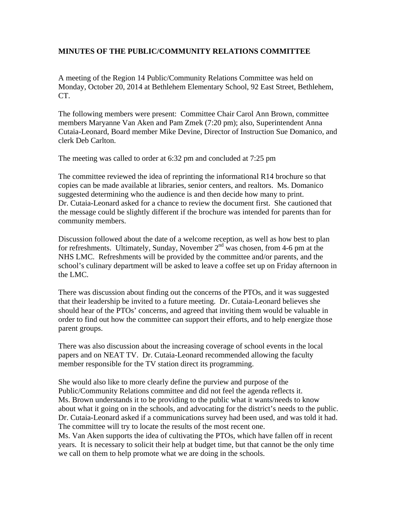## **MINUTES OF THE PUBLIC/COMMUNITY RELATIONS COMMITTEE**

A meeting of the Region 14 Public/Community Relations Committee was held on Monday, October 20, 2014 at Bethlehem Elementary School, 92 East Street, Bethlehem, CT.

The following members were present: Committee Chair Carol Ann Brown, committee members Maryanne Van Aken and Pam Zmek (7:20 pm); also, Superintendent Anna Cutaia-Leonard, Board member Mike Devine, Director of Instruction Sue Domanico, and clerk Deb Carlton.

The meeting was called to order at 6:32 pm and concluded at 7:25 pm

The committee reviewed the idea of reprinting the informational R14 brochure so that copies can be made available at libraries, senior centers, and realtors. Ms. Domanico suggested determining who the audience is and then decide how many to print. Dr. Cutaia-Leonard asked for a chance to review the document first. She cautioned that the message could be slightly different if the brochure was intended for parents than for community members.

Discussion followed about the date of a welcome reception, as well as how best to plan for refreshments. Ultimately, Sunday, November  $2<sup>nd</sup>$  was chosen, from 4-6 pm at the NHS LMC. Refreshments will be provided by the committee and/or parents, and the school's culinary department will be asked to leave a coffee set up on Friday afternoon in the LMC.

There was discussion about finding out the concerns of the PTOs, and it was suggested that their leadership be invited to a future meeting. Dr. Cutaia-Leonard believes she should hear of the PTOs' concerns, and agreed that inviting them would be valuable in order to find out how the committee can support their efforts, and to help energize those parent groups.

There was also discussion about the increasing coverage of school events in the local papers and on NEAT TV. Dr. Cutaia-Leonard recommended allowing the faculty member responsible for the TV station direct its programming.

She would also like to more clearly define the purview and purpose of the Public/Community Relations committee and did not feel the agenda reflects it. Ms. Brown understands it to be providing to the public what it wants/needs to know about what it going on in the schools, and advocating for the district's needs to the public. Dr. Cutaia-Leonard asked if a communications survey had been used, and was told it had. The committee will try to locate the results of the most recent one. Ms. Van Aken supports the idea of cultivating the PTOs, which have fallen off in recent years. It is necessary to solicit their help at budget time, but that cannot be the only time we call on them to help promote what we are doing in the schools.